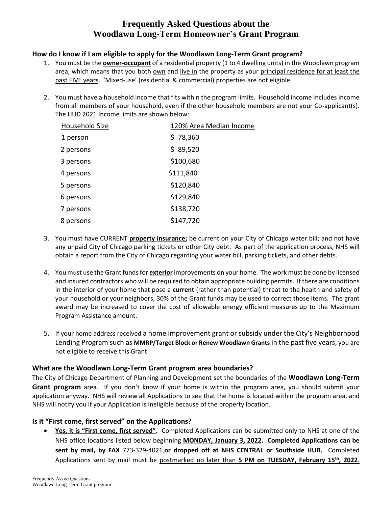# **Frequently Asked Questions about the Woodlawn Long-Term Homeowner's Grant Program**

#### **How do I know if I am eligible to apply for the Woodlawn Long-Term Grant program?**

- 1. You must be the **owner-occupant** of a residential property (1 to 4 dwelling units) in the Woodlawn program area, which means that you both own and live in the property as your principal residence for at least the past FIVE years. 'Mixed-use' (residential & commercial) properties are not eligible.
- 2. You must have a household income that fits within the program limits. Household income includes income from all members of your household, even if the other household members are not your Co-applicant(s). The HUD 2021 Income limits are shown below:

| Household Size | 120% Area Median Income |
|----------------|-------------------------|
| 1 person       | \$78,360                |
| 2 persons      | \$89,520                |
| 3 persons      | \$100,680               |
| 4 persons      | \$111,840               |
| 5 persons      | \$120,840               |
| 6 persons      | \$129,840               |
| 7 persons      | \$138,720               |
| 8 persons      | \$147,720               |

- 3. You must have CURRENT **property insurance;** be current on your City of Chicago water bill; and not have any unpaid City of Chicago parking tickets or other City debt. As part of the application process, NHS will obtain a report from the City of Chicago regarding your water bill, parking tickets, and other debts.
- 4. You must use the Grant funds for **exterior** improvements on your home. The work must be done by licensed and insured contractors who will be required to obtain appropriate building permits. If there are conditions in the interior of your home that pose a **current** (rather than potential) threat to the health and safety of your household or your neighbors, 30% of the Grant funds may be used to correct those items. The grant award may be increased to cover the cost of allowable energy efficient measures up to the Maximum Program Assistance amount.
- 5. If your home address received a home improvement grant or subsidy under the City's Neighborhood Lending Program such as **MMRP/Target Block or Renew Woodlawn Grants** in the past five years, you are not eligible to receive this Grant.

#### **What are the Woodlawn Long-Term Grant program area boundaries?**

The City of Chicago Department of Planning and Development set the boundaries of the **Woodlawn Long-Term Grant program** area. If you don't know if your home is within the program area, you should submit your application anyway. NHS will review all Applications to see that the home is located within the program area, and NHS will notify you if your Application is ineligible because of the property location.

### **Is it "First come, first served" on the Applications?**

 **Yes, it is "First come, first served".** Completed Applications can be submitted only to NHS at one of the NHS office locations listed below beginning **MONDAY, January 3, 2022. Completed Applications can be sent by mail, by FAX** 773-329-4021,**or dropped off at NHS CENTRAL or Southside HUB.** Completed Applications sent by mail must be postmarked no later than **5 PM on TUESDAY, February 15th, 2022**.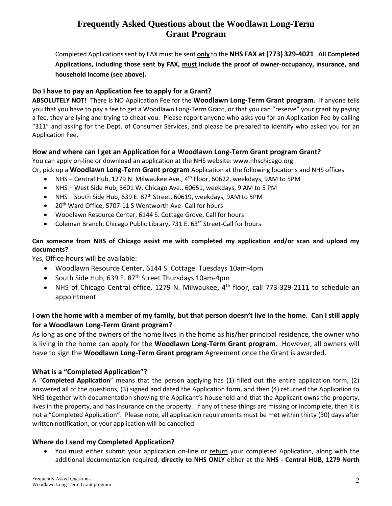# **Frequently Asked Questions about the Woodlawn Long-Term Grant Program**

Completed Applicationssent by FAX must be sent **only** to the **NHS FAX at (773) 329-4021**. **All Completed Applications, including those sent by FAX, must include the proof of owner-occupancy, insurance, and household income (see above).**

### **Do I have to pay an Application fee to apply for a Grant?**

**ABSOLUTELY NOT!** There is NO Application Fee for the **Woodlawn Long-Term Grant program**. If anyone tells you that you have to pay a fee to get a Woodlawn Long-Term Grant, or that you can "reserve" your grant by paying a fee, they are lying and trying to cheat you. Please report anyone who asks you for an Application Fee by calling "311" and asking for the Dept. of Consumer Services, and please be prepared to identify who asked you for an Application Fee.

### **How and where can I get an Application for a Woodlawn Long-Term Grant program Grant?**

You can apply on-line or download an application at the NHS website: www.nhschicago.org

Or, pick up a **Woodlawn Long-Term Grant program** Application at the following locations and NHS offices

- NHS Central Hub, 1279 N. Milwaukee Ave., 4<sup>th</sup> Floor, 60622, weekdays, 9AM to 5PM
- NHS West Side Hub, 3601 W. Chicago Ave., 60651, weekdays, 9 AM to 5 PM
- NHS South Side Hub, 639 E. 87<sup>th</sup> Street, 60619, weekdays, 9AM to 5PM
- $\bullet$  20<sup>th</sup> Ward Office, 5707-11 S Wentworth Ave- Call for hours
- Woodlawn Resource Center, 6144 S. Cottage Grove, Call for hours
- Coleman Branch, Chicago Public Library, 731 E. 63<sup>rd</sup> Street-Call for hours

### **Can someone from NHS of Chicago assist me with completed my application and/or scan and upload my documents?**

Yes, Office hours will be available:

- Woodlawn Resource Center, 6144 S. Cottage Tuesdays 10am-4pm
- South Side Hub, 639 E. 87<sup>th</sup> Street Thursdays 10am-4pm
- NHS of Chicago Central office, 1279 N. Milwaukee,  $4<sup>th</sup>$  floor, call 773-329-2111 to schedule an appointment

## **I own the home with a member of my family, but that person doesn't live in the home. Can I still apply for a Woodlawn Long-Term Grant program?**

As long as one of the owners of the home lives in the home as his/her principal residence, the owner who is living in the home can apply for the **Woodlawn Long-Term Grant program**. However, all owners will have to sign the **Woodlawn Long-Term Grant program** Agreement once the Grant is awarded.

## **What is a "Completed Application"?**

A "**Completed Application**" means that the person applying has (1) filled out the entire application form, (2) answered all of the questions, (3) signed and dated the Application form, and then (4) returned the Application to NHS together with documentation showing the Applicant's household and that the Applicant owns the property, lives in the property, and has insurance on the property. If any of these things are missing or incomplete, then it is not a "Completed Application". Please note, all application requirements must be met within thirty (30) days after written notification, or your application will be cancelled.

### **Where do I send my Completed Application?**

 You must either submit your application on-line or return your completed Application, along with the additional documentation required, **directly to NHS ONLY** either at the **NHS - Central HUB, 1279 North**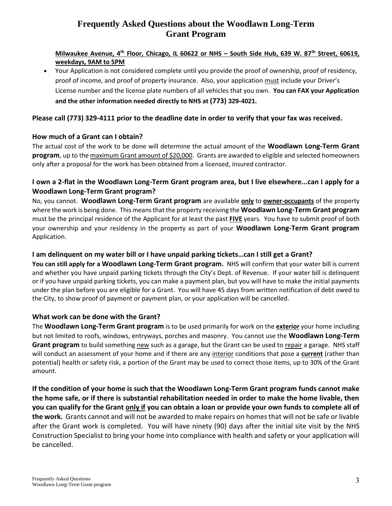# **Frequently Asked Questions about the Woodlawn Long-Term Grant Program**

#### **Milwaukee Avenue, 4th Floor, Chicago, IL 60622 or NHS – South Side Hub, 639 W. 87th Street, 60619, weekdays, 9AM to 5PM**

 Your Application is not considered complete until you provide the proof of ownership, proof of residency, proof of income, and proof of property insurance. Also, your application must include your Driver's License number and the license plate numbers of all vehicles that you own. **You can FAX your Application and the other information needed directly to NHS at (773) 329-4021.**

### **Please call (773) 329-4111 prior to the deadline date in order to verify that your fax was received.**

#### **How much of a Grant can I obtain?**

The actual cost of the work to be done will determine the actual amount of the **Woodlawn Long-Term Grant program**, up to the maximum Grant amount of \$20,000. Grants are awarded to eligible and selected homeowners only after a proposal for the work has been obtained from a licensed, insured contractor.

### **I own a 2-flat in the Woodlawn Long-Term Grant program area, but I live elsewhere...can I apply for a Woodlawn Long-Term Grant program?**

No, you cannot. **Woodlawn Long-Term Grant program** are available **only** to **owner-occupants** of the property where the work is being done. This means that the property receiving the **Woodlawn Long-Term Grant program** must be the principal residence of the Applicant for at least the past **FIVE** years. You have to submit proof of both your ownership and your residency in the property as part of your **Woodlawn Long-Term Grant program** Application.

#### **I am delinquent on my water bill or I have unpaid parking tickets…can I still get a Grant?**

**You can still apply for a Woodlawn Long-Term Grant program.** NHS will confirm that your water bill is current and whether you have unpaid parking tickets through the City's Dept. of Revenue. If your water bill is delinquent or if you have unpaid parking tickets, you can make a payment plan, but you will have to make the initial payments under the plan before you are eligible for a Grant. You will have 45 days from written notification of debt owed to the City, to show proof of payment or payment plan, or your application will be cancelled.

### **What work can be done with the Grant?**

The **Woodlawn Long-Term Grant program** is to be used primarily for work on the **exterior** your home including but not limited to roofs, windows, entryways, porches and masonry. You cannot use the **Woodlawn Long-Term Grant program** to build something new such as a garage, but the Grant can be used to repair a garage. NHS staff will conduct an assessment of your home and if there are any interior conditions that pose a **current** (rather than potential) health or safety risk, a portion of the Grant may be used to correct those items, up to 30% of the Grant amount.

**If the condition of your home is such that the Woodlawn Long-Term Grant program funds cannot make the home safe, or if there is substantial rehabilitation needed in order to make the home livable, then you can qualify for the Grant only if you can obtain a loan or provide your own funds to complete all of the work.** Grants cannot and will not be awarded to make repairs on homes that will not be safe or livable after the Grant work is completed. You will have ninety (90) days after the initial site visit by the NHS Construction Specialist to bring your home into compliance with health and safety or your application will be cancelled.